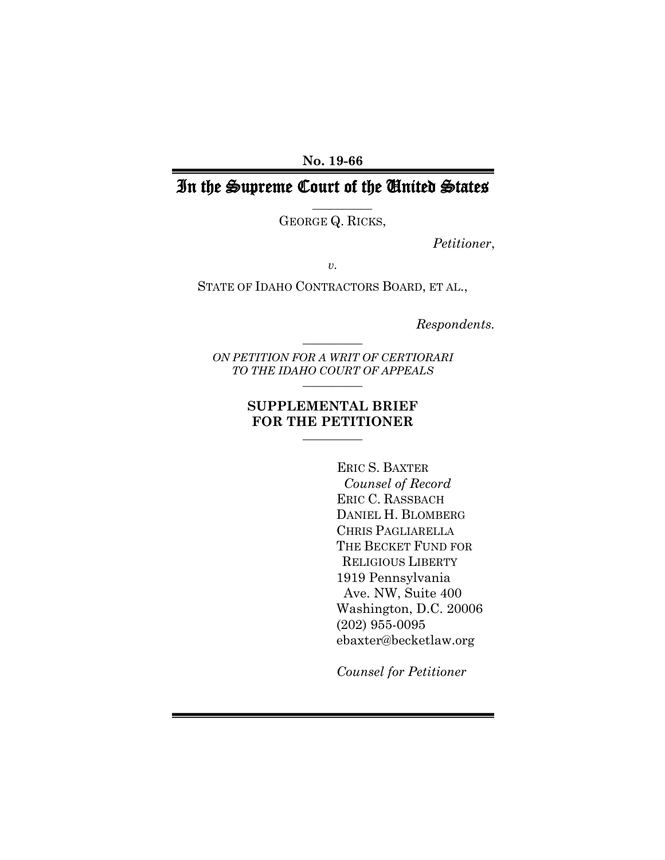**No. 19-66**

# In the Supreme Court of the United States

 $\overline{\phantom{a}}$   $\overline{\phantom{a}}$   $\overline{\phantom{a}}$   $\overline{\phantom{a}}$   $\overline{\phantom{a}}$   $\overline{\phantom{a}}$   $\overline{\phantom{a}}$   $\overline{\phantom{a}}$   $\overline{\phantom{a}}$   $\overline{\phantom{a}}$   $\overline{\phantom{a}}$   $\overline{\phantom{a}}$   $\overline{\phantom{a}}$   $\overline{\phantom{a}}$   $\overline{\phantom{a}}$   $\overline{\phantom{a}}$   $\overline{\phantom{a}}$   $\overline{\phantom{a}}$   $\overline{\$ 

GEORGE Q. RICKS,

*Petitioner*,

*v.*

STATE OF IDAHO CONTRACTORS BOARD, ET AL.,

*Respondents.*

*ON PETITION FOR A WRIT OF CERTIORARI TO THE IDAHO COURT OF APPEALS*  $\frac{1}{2}$ 

 $\frac{1}{2}$ 

#### **SUPPLEMENTAL BRIEF FOR THE PETITIONER**  $\overline{\phantom{a}}$   $\overline{\phantom{a}}$   $\overline{\phantom{a}}$   $\overline{\phantom{a}}$   $\overline{\phantom{a}}$   $\overline{\phantom{a}}$   $\overline{\phantom{a}}$   $\overline{\phantom{a}}$   $\overline{\phantom{a}}$   $\overline{\phantom{a}}$   $\overline{\phantom{a}}$   $\overline{\phantom{a}}$   $\overline{\phantom{a}}$   $\overline{\phantom{a}}$   $\overline{\phantom{a}}$   $\overline{\phantom{a}}$   $\overline{\phantom{a}}$   $\overline{\phantom{a}}$   $\overline{\$

 ERIC S. BAXTER *Counsel of Record* ERIC C. RASSBACH DANIEL H. BLOMBERG CHRIS PAGLIARELLA THE BECKET FUND FOR RELIGIOUS LIBERTY 1919 Pennsylvania Ave. NW, Suite 400 Washington, D.C. 20006 (202) 955-0095 ebaxter@becketlaw.org

*Counsel for Petitioner*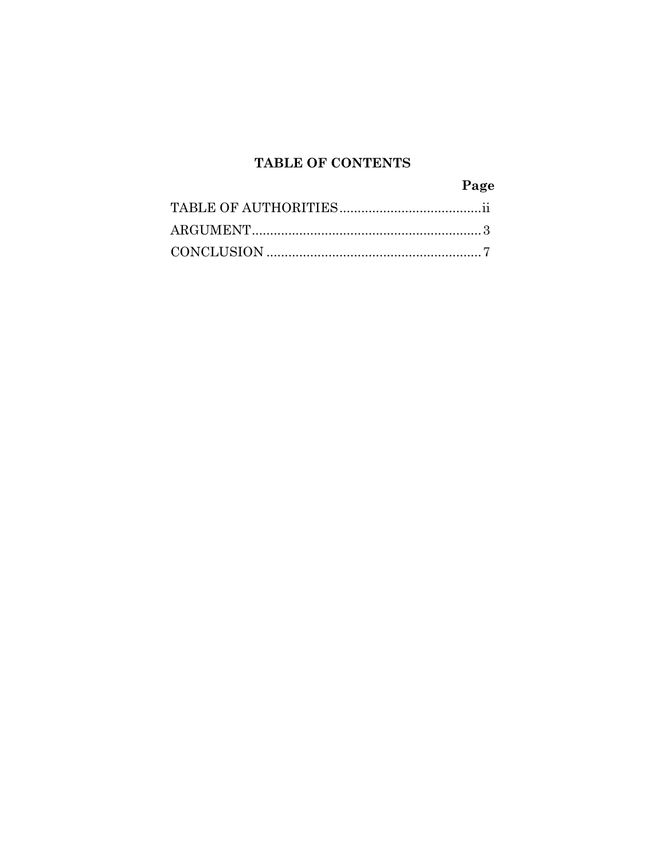## TABLE OF CONTENTS

| Page |
|------|
|      |
|      |
|      |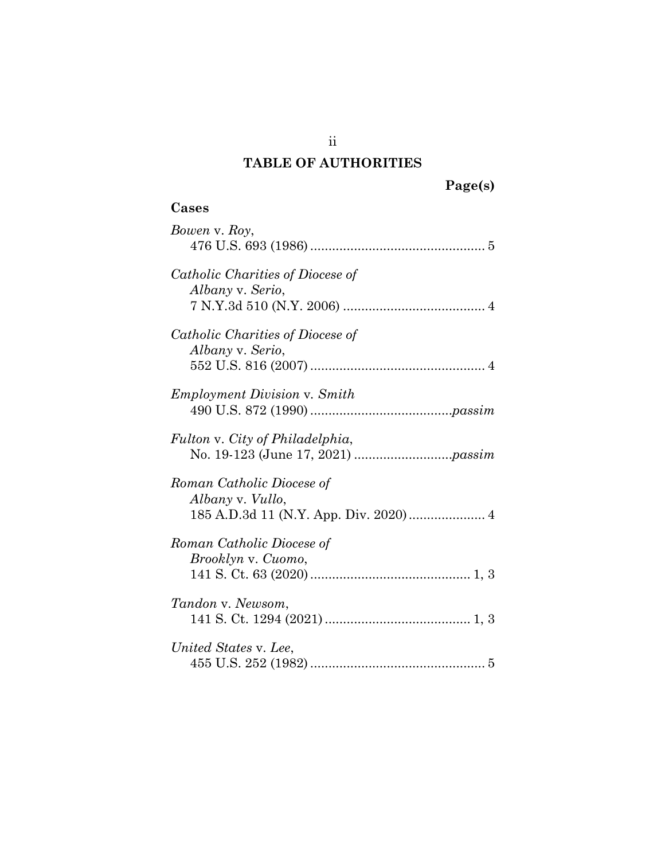### **TABLE OF AUTHORITIES**

ii

### **Cases**

| Bowen v. Roy,                                                                           |
|-----------------------------------------------------------------------------------------|
| Catholic Charities of Diocese of<br>Albany v. Serio,                                    |
| Catholic Charities of Diocese of<br>Albany v. Serio,                                    |
| <b>Employment Division v. Smith</b>                                                     |
| Fulton v. City of Philadelphia,                                                         |
| Roman Catholic Diocese of<br>Albany v. Vullo,<br>185 A.D.3d 11 (N.Y. App. Div. 2020)  4 |
| Roman Catholic Diocese of<br>Brooklyn v. Cuomo,                                         |
| Tandon v. Newsom,                                                                       |
| United States v. Lee,                                                                   |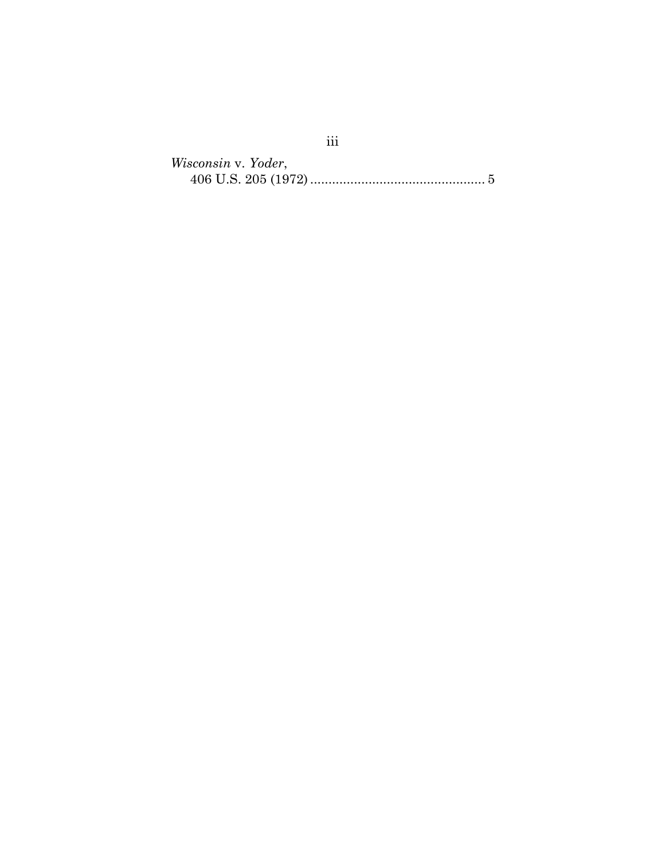*Wisconsin* v. *Yoder*, 406 U.S. 205 (1972)................................................ 5

iii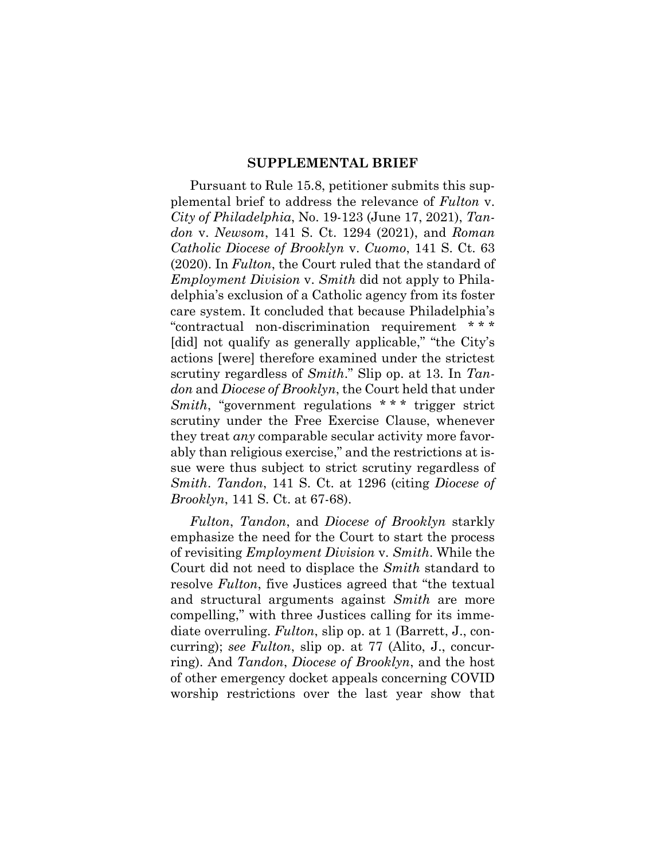#### **SUPPLEMENTAL BRIEF**

Pursuant to Rule 15.8, petitioner submits this supplemental brief to address the relevance of *Fulton* v. *City of Philadelphia*, No. 19-123 (June 17, 2021), *Tandon* v. *Newsom*, 141 S. Ct. 1294 (2021), and *Roman Catholic Diocese of Brooklyn* v. *Cuomo*, 141 S. Ct. 63 (2020). In *Fulton*, the Court ruled that the standard of *Employment Division* v. *Smith* did not apply to Philadelphia's exclusion of a Catholic agency from its foster care system. It concluded that because Philadelphia's "contractual non-discrimination requirement \* \* \* [did] not qualify as generally applicable," "the City's actions [were] therefore examined under the strictest scrutiny regardless of *Smith*." Slip op. at 13. In *Tandon* and *Diocese of Brooklyn*, the Court held that under *Smith*, "government regulations \* \* \* trigger strict scrutiny under the Free Exercise Clause, whenever they treat *any* comparable secular activity more favorably than religious exercise," and the restrictions at issue were thus subject to strict scrutiny regardless of *Smith*. *Tandon*, 141 S. Ct. at 1296 (citing *Diocese of Brooklyn*, 141 S. Ct. at 67-68).

*Fulton*, *Tandon*, and *Diocese of Brooklyn* starkly emphasize the need for the Court to start the process of revisiting *Employment Division* v. *Smith*. While the Court did not need to displace the *Smith* standard to resolve *Fulton*, five Justices agreed that "the textual and structural arguments against *Smith* are more compelling," with three Justices calling for its immediate overruling. *Fulton*, slip op. at 1 (Barrett, J., concurring); *see Fulton*, slip op. at 77 (Alito, J., concurring). And *Tandon*, *Diocese of Brooklyn*, and the host of other emergency docket appeals concerning COVID worship restrictions over the last year show that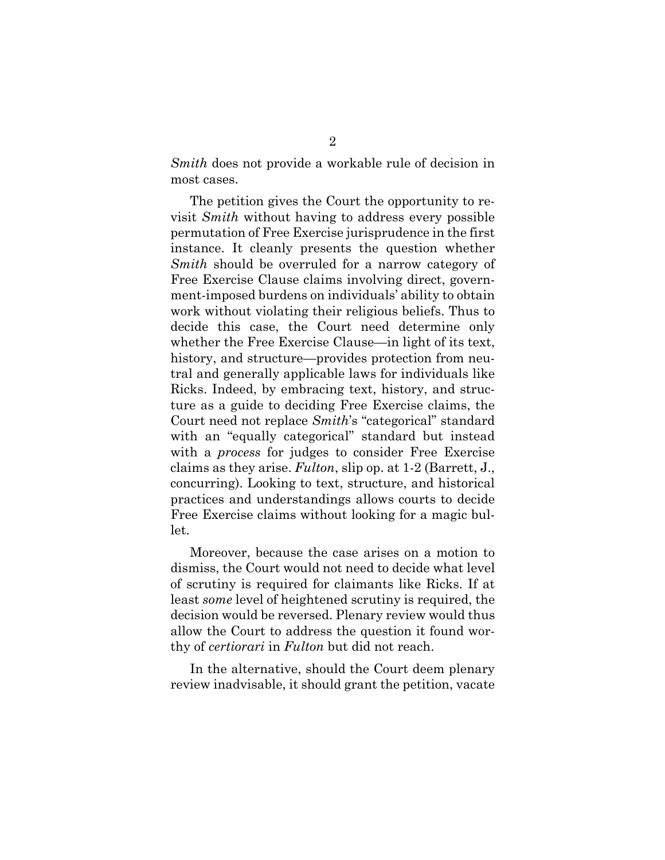*Smith* does not provide a workable rule of decision in most cases.

The petition gives the Court the opportunity to revisit *Smith* without having to address every possible permutation of Free Exercise jurisprudence in the first instance. It cleanly presents the question whether *Smith* should be overruled for a narrow category of Free Exercise Clause claims involving direct, government-imposed burdens on individuals' ability to obtain work without violating their religious beliefs. Thus to decide this case, the Court need determine only whether the Free Exercise Clause—in light of its text, history, and structure—provides protection from neutral and generally applicable laws for individuals like Ricks. Indeed, by embracing text, history, and structure as a guide to deciding Free Exercise claims, the Court need not replace *Smith*'s "categorical" standard with an "equally categorical" standard but instead with a *process* for judges to consider Free Exercise claims as they arise. *Fulton*, slip op. at 1-2 (Barrett, J., concurring). Looking to text, structure, and historical practices and understandings allows courts to decide Free Exercise claims without looking for a magic bullet.

Moreover, because the case arises on a motion to dismiss, the Court would not need to decide what level of scrutiny is required for claimants like Ricks. If at least *some* level of heightened scrutiny is required, the decision would be reversed. Plenary review would thus allow the Court to address the question it found worthy of *certiorari* in *Fulton* but did not reach.

In the alternative, should the Court deem plenary review inadvisable, it should grant the petition, vacate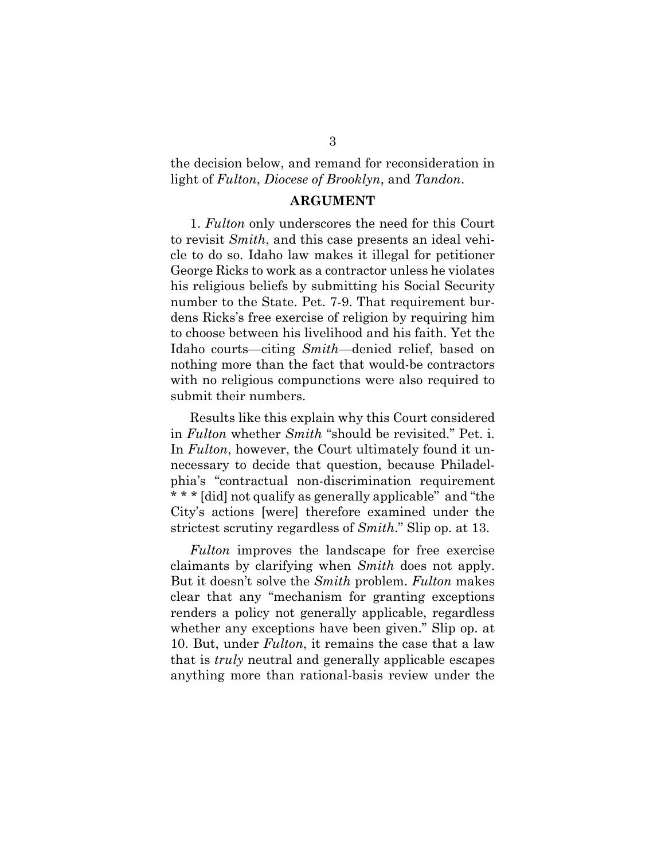the decision below, and remand for reconsideration in light of *Fulton*, *Diocese of Brooklyn*, and *Tandon*.

#### **ARGUMENT**

1. *Fulton* only underscores the need for this Court to revisit *Smith*, and this case presents an ideal vehicle to do so. Idaho law makes it illegal for petitioner George Ricks to work as a contractor unless he violates his religious beliefs by submitting his Social Security number to the State. Pet. 7-9. That requirement burdens Ricks's free exercise of religion by requiring him to choose between his livelihood and his faith. Yet the Idaho courts—citing *Smith*—denied relief, based on nothing more than the fact that would-be contractors with no religious compunctions were also required to submit their numbers.

Results like this explain why this Court considered in *Fulton* whether *Smith* "should be revisited." Pet. i. In *Fulton*, however, the Court ultimately found it unnecessary to decide that question, because Philadelphia's "contractual non-discrimination requirement \* \* \* [did] not qualify as generally applicable" and "the City's actions [were] therefore examined under the strictest scrutiny regardless of *Smith*." Slip op. at 13.

*Fulton* improves the landscape for free exercise claimants by clarifying when *Smith* does not apply. But it doesn't solve the *Smith* problem. *Fulton* makes clear that any "mechanism for granting exceptions renders a policy not generally applicable, regardless whether any exceptions have been given." Slip op. at 10. But, under *Fulton*, it remains the case that a law that is *truly* neutral and generally applicable escapes anything more than rational-basis review under the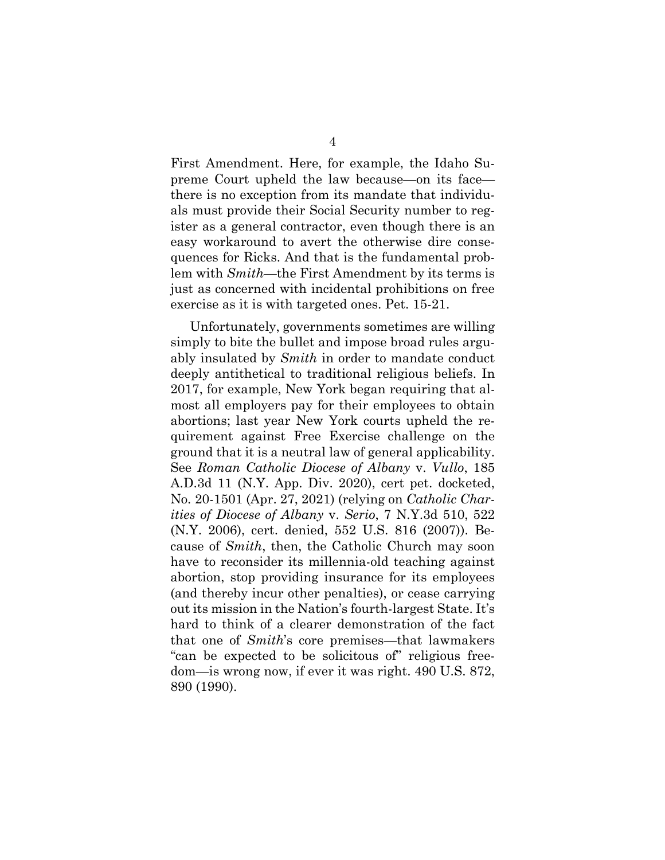First Amendment. Here, for example, the Idaho Supreme Court upheld the law because—on its face there is no exception from its mandate that individuals must provide their Social Security number to register as a general contractor, even though there is an easy workaround to avert the otherwise dire consequences for Ricks. And that is the fundamental problem with *Smith*—the First Amendment by its terms is just as concerned with incidental prohibitions on free exercise as it is with targeted ones. Pet. 15-21.

Unfortunately, governments sometimes are willing simply to bite the bullet and impose broad rules arguably insulated by *Smith* in order to mandate conduct deeply antithetical to traditional religious beliefs. In 2017, for example, New York began requiring that almost all employers pay for their employees to obtain abortions; last year New York courts upheld the requirement against Free Exercise challenge on the ground that it is a neutral law of general applicability. See *Roman Catholic Diocese of Albany* v. *Vullo*, 185 A.D.3d 11 (N.Y. App. Div. 2020), cert pet. docketed, No. 20-1501 (Apr. 27, 2021) (relying on *Catholic Charities of Diocese of Albany* v. *Serio*, 7 N.Y.3d 510, 522 (N.Y. 2006), cert. denied, 552 U.S. 816 (2007)). Because of *Smith*, then, the Catholic Church may soon have to reconsider its millennia-old teaching against abortion, stop providing insurance for its employees (and thereby incur other penalties), or cease carrying out its mission in the Nation's fourth-largest State. It's hard to think of a clearer demonstration of the fact that one of *Smith*'s core premises—that lawmakers "can be expected to be solicitous of" religious freedom—is wrong now, if ever it was right. 490 U.S. 872, 890 (1990).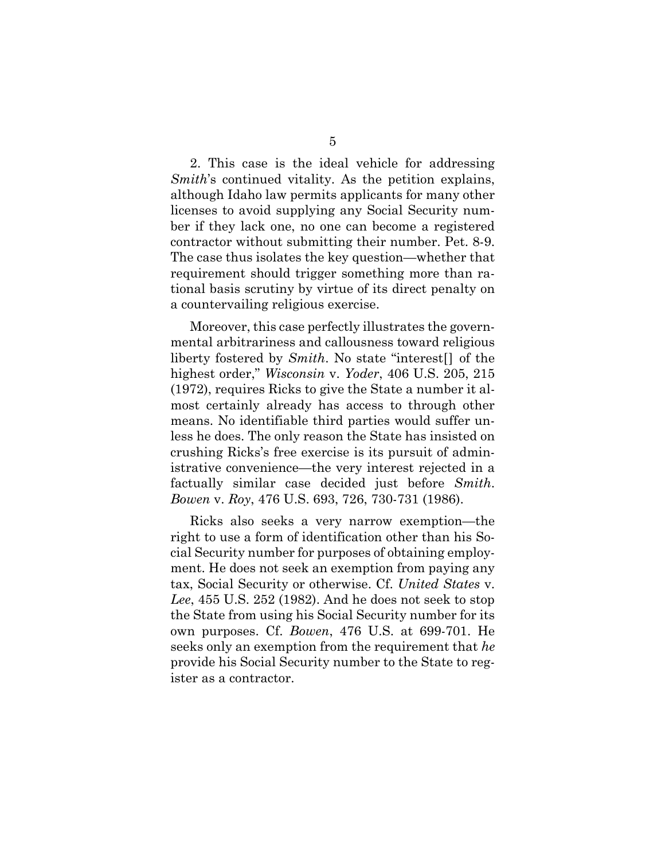2. This case is the ideal vehicle for addressing *Smith*'s continued vitality. As the petition explains, although Idaho law permits applicants for many other licenses to avoid supplying any Social Security number if they lack one, no one can become a registered contractor without submitting their number. Pet. 8-9. The case thus isolates the key question—whether that requirement should trigger something more than rational basis scrutiny by virtue of its direct penalty on a countervailing religious exercise.

Moreover, this case perfectly illustrates the governmental arbitrariness and callousness toward religious liberty fostered by *Smith*. No state "interest[] of the highest order," *Wisconsin* v. *Yoder*, 406 U.S. 205, 215 (1972), requires Ricks to give the State a number it almost certainly already has access to through other means. No identifiable third parties would suffer unless he does. The only reason the State has insisted on crushing Ricks's free exercise is its pursuit of administrative convenience—the very interest rejected in a factually similar case decided just before *Smith*. *Bowen* v. *Roy*, 476 U.S. 693, 726, 730-731 (1986).

Ricks also seeks a very narrow exemption—the right to use a form of identification other than his Social Security number for purposes of obtaining employment. He does not seek an exemption from paying any tax, Social Security or otherwise. Cf. *United States* v. *Lee*, 455 U.S. 252 (1982). And he does not seek to stop the State from using his Social Security number for its own purposes. Cf. *Bowen*, 476 U.S. at 699-701. He seeks only an exemption from the requirement that *he* provide his Social Security number to the State to register as a contractor.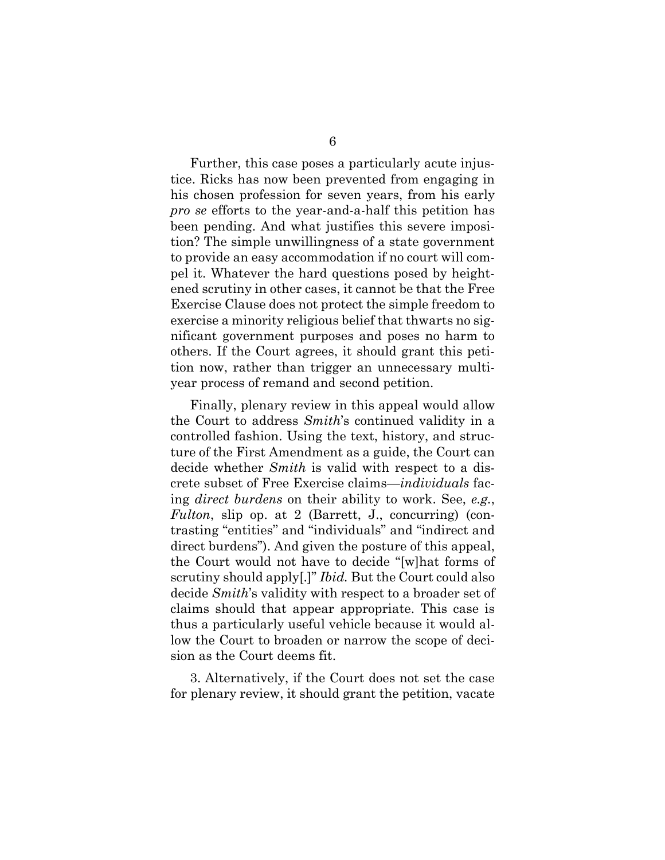Further, this case poses a particularly acute injustice. Ricks has now been prevented from engaging in his chosen profession for seven years, from his early *pro se* efforts to the year-and-a-half this petition has been pending. And what justifies this severe imposition? The simple unwillingness of a state government to provide an easy accommodation if no court will compel it. Whatever the hard questions posed by heightened scrutiny in other cases, it cannot be that the Free Exercise Clause does not protect the simple freedom to exercise a minority religious belief that thwarts no significant government purposes and poses no harm to others. If the Court agrees, it should grant this petition now, rather than trigger an unnecessary multiyear process of remand and second petition.

Finally, plenary review in this appeal would allow the Court to address *Smith*'s continued validity in a controlled fashion. Using the text, history, and structure of the First Amendment as a guide, the Court can decide whether *Smith* is valid with respect to a discrete subset of Free Exercise claims—*individuals* facing *direct burdens* on their ability to work. See, *e.g.*, *Fulton*, slip op. at 2 (Barrett, J., concurring) (contrasting "entities" and "individuals" and "indirect and direct burdens"). And given the posture of this appeal, the Court would not have to decide "[w]hat forms of scrutiny should apply[.]" *Ibid.* But the Court could also decide *Smith*'s validity with respect to a broader set of claims should that appear appropriate. This case is thus a particularly useful vehicle because it would allow the Court to broaden or narrow the scope of decision as the Court deems fit.

3. Alternatively, if the Court does not set the case for plenary review, it should grant the petition, vacate